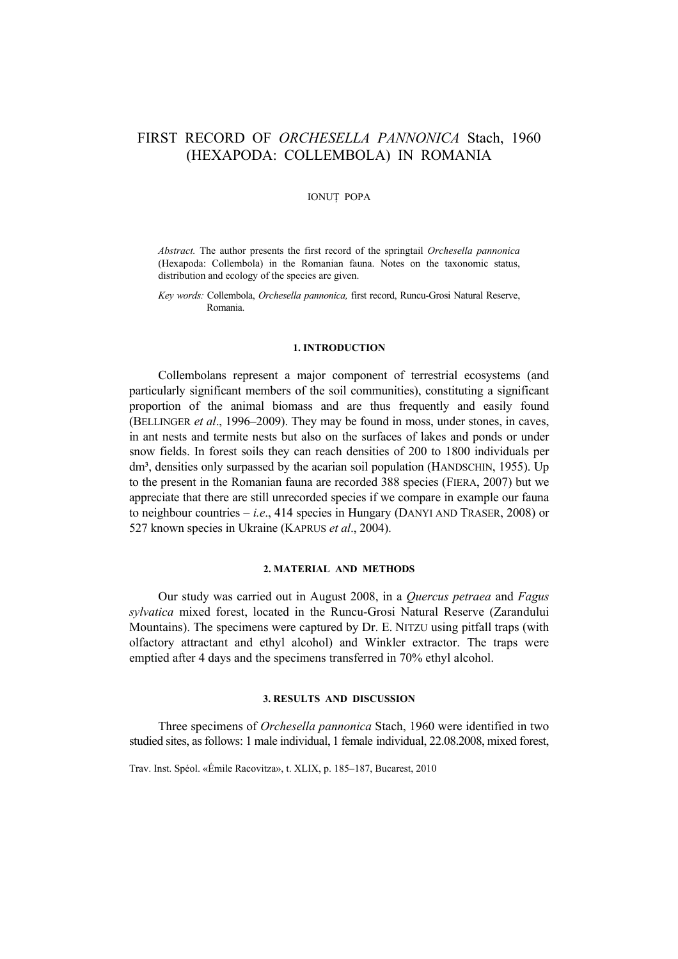# FIRST RECORD OF *ORCHESELLA PANNONICA* Stach, 1960 (HEXAPODA: COLLEMBOLA) IN ROMANIA

## IONUŢ POPA

*Abstract.* The author presents the first record of the springtail *Orchesella pannonica*  (Hexapoda: Collembola) in the Romanian fauna. Notes on the taxonomic status, distribution and ecology of the species are given.

*Key words:* Collembola, *Orchesella pannonica,* first record, Runcu-Grosi Natural Reserve, Romania.

#### **1. INTRODUCTION**

Collembolans represent a major component of terrestrial ecosystems (and particularly significant members of the soil communities), constituting a significant proportion of the animal biomass and are thus frequently and easily found (BELLINGER *et al*., 1996–2009). They may be found in moss, under stones, in caves, in ant nests and termite nests but also on the surfaces of lakes and ponds or under snow fields. In forest soils they can reach densities of 200 to 1800 individuals per dm<sup>3</sup>, densities only surpassed by the acarian soil population (HANDSCHIN, 1955). Up to the present in the Romanian fauna are recorded 388 species (FIERA, 2007) but we appreciate that there are still unrecorded species if we compare in example our fauna to neighbour countries – *i.e*., 414 species in Hungary (DANYI AND TRASER, 2008) or 527 known species in Ukraine (KAPRUS *et al*., 2004).

#### **2. MATERIAL AND METHODS**

Our study was carried out in August 2008, in a *Quercus petraea* and *Fagus sylvatica* mixed forest, located in the Runcu-Grosi Natural Reserve (Zarandului Mountains). The specimens were captured by Dr. E. NITZU using pitfall traps (with olfactory attractant and ethyl alcohol) and Winkler extractor. The traps were emptied after 4 days and the specimens transferred in 70% ethyl alcohol.

### **3. RESULTS AND DISCUSSION**

Three specimens of *Orchesella pannonica* Stach, 1960 were identified in two studied sites, as follows: 1 male individual, 1 female individual, 22.08.2008, mixed forest,

Trav. Inst. Spéol. «Émile Racovitza», t. XLIX, p. 185–187, Bucarest, 2010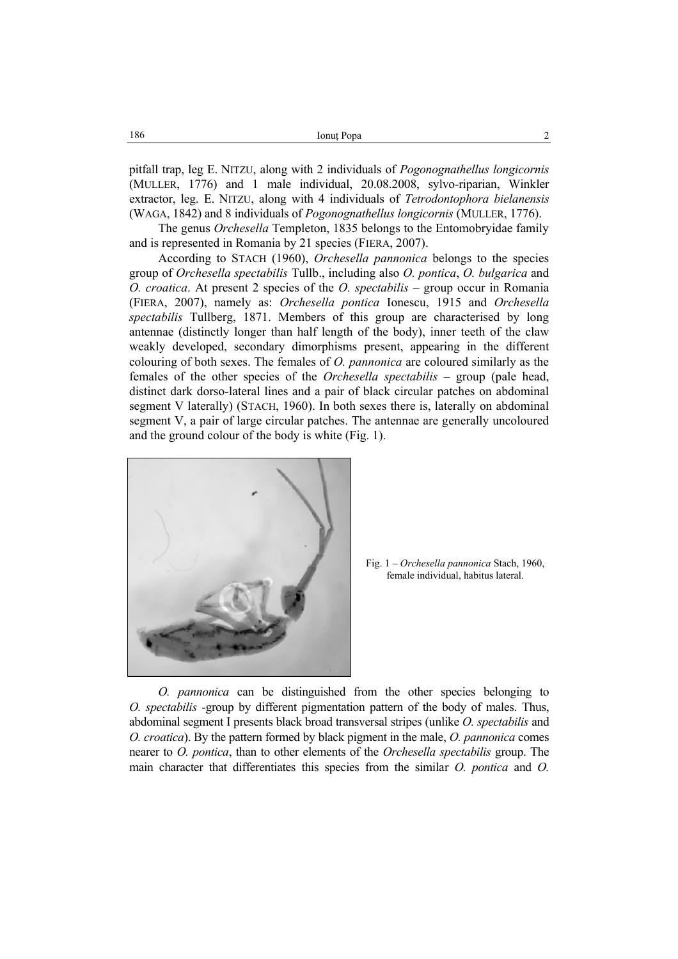| 186 | Ionut Popa |  |
|-----|------------|--|
|     |            |  |

pitfall trap, leg E. NITZU, along with 2 individuals of *Pogonognathellus longicornis* (MULLER, 1776) and 1 male individual, 20.08.2008, sylvo-riparian, Winkler extractor, leg. E. NITZU, along with 4 individuals of *Tetrodontophora bielanensis* (WAGA, 1842) and 8 individuals of *Pogonognathellus longicornis* (MULLER, 1776).

The genus *Orchesella* Templeton, 1835 belongs to the Entomobryidae family and is represented in Romania by 21 species (FIERA, 2007).

According to STACH (1960), *Orchesella pannonica* belongs to the species group of *Orchesella spectabilis* Tullb., including also *O. pontica*, *O. bulgarica* and *O. croatica*. At present 2 species of the *O. spectabilis* – group occur in Romania (FIERA, 2007), namely as: *Orchesella pontica* Ionescu, 1915 and *Orchesella spectabilis* Tullberg, 1871. Members of this group are characterised by long antennae (distinctly longer than half length of the body), inner teeth of the claw weakly developed, secondary dimorphisms present, appearing in the different colouring of both sexes. The females of *O. pannonica* are coloured similarly as the females of the other species of the *Orchesella spectabilis* – group (pale head, distinct dark dorso-lateral lines and a pair of black circular patches on abdominal segment V laterally) (STACH, 1960). In both sexes there is, laterally on abdominal segment V, a pair of large circular patches. The antennae are generally uncoloured and the ground colour of the body is white (Fig. 1).



Fig. 1 – *Orchesella pannonica* Stach, 1960, female individual, habitus lateral.

*O. pannonica* can be distinguished from the other species belonging to *O. spectabilis* -group by different pigmentation pattern of the body of males. Thus, abdominal segment I presents black broad transversal stripes (unlike *O. spectabilis* and *O. croatica*). By the pattern formed by black pigment in the male, *O. pannonica* comes nearer to *O. pontica*, than to other elements of the *Orchesella spectabilis* group. The main character that differentiates this species from the similar *O. pontica* and *O.*